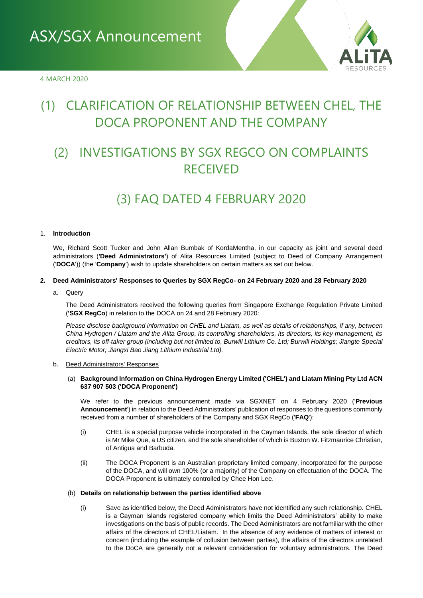

# (1) CLARIFICATION OF RELATIONSHIP BETWEEN CHEL, THE DOCA PROPONENT AND THE COMPANY

# (2) INVESTIGATIONS BY SGX REGCO ON COMPLAINTS RECEIVED

# (3) FAQ DATED 4 FEBRUARY 2020

### 1. **Introduction**

We, Richard Scott Tucker and John Allan Bumbak of KordaMentha, in our capacity as joint and several deed administrators (**'Deed Administrators'**) of Alita Resources Limited (subject to Deed of Company Arrangement ('**DOCA**')) (the '**Company**') wish to update shareholders on certain matters as set out below.

### **2. Deed Administrators' Responses to Queries by SGX RegCo- on 24 February 2020 and 28 February 2020**

a. Query

The Deed Administrators received the following queries from Singapore Exchange Regulation Private Limited (**'SGX RegCo**) in relation to the DOCA on 24 and 28 February 2020:

*Please disclose background information on CHEL and Liatam, as well as details of relationships, if any, between China Hydrogen / Liatam and the Alita Group, its controlling shareholders, its directors, its key management, its creditors, its off-taker group (including but not limited to, Burwill Lithium Co. Ltd; Burwill Holdings; Jiangte Special Electric Motor; Jiangxi Bao Jiang Lithium Industrial Ltd).* 

#### b. Deed Administrators' Responses

# (a) **Background Information on China Hydrogen Energy Limited ('CHEL') and Liatam Mining Pty Ltd ACN 637 907 503 ('DOCA Proponent')**

We refer to the previous announcement made via SGXNET on 4 February 2020 ('**Previous Announcement**') in relation to the Deed Administrators' publication of responses to the questions commonly received from a number of shareholders of the Company and SGX RegCo ('**FAQ**'):

- (i) CHEL is a special purpose vehicle incorporated in the Cayman Islands, the sole director of which is Mr Mike Que, a US citizen, and the sole shareholder of which is Buxton W. Fitzmaurice Christian, of Antigua and Barbuda.
- (ii) The DOCA Proponent is an Australian proprietary limited company, incorporated for the purpose of the DOCA, and will own 100% (or a majority) of the Company on effectuation of the DOCA. The DOCA Proponent is ultimately controlled by Chee Hon Lee.

#### (b) **Details on relationship between the parties identified above**

(i) Save as identified below, the Deed Administrators have not identified any such relationship. CHEL is a Cayman Islands registered company which limits the Deed Administrators' ability to make investigations on the basis of public records. The Deed Administrators are not familiar with the other affairs of the directors of CHEL/Liatam. In the absence of any evidence of matters of interest or concern (including the example of collusion between parties), the affairs of the directors unrelated to the DoCA are generally not a relevant consideration for voluntary administrators. The Deed